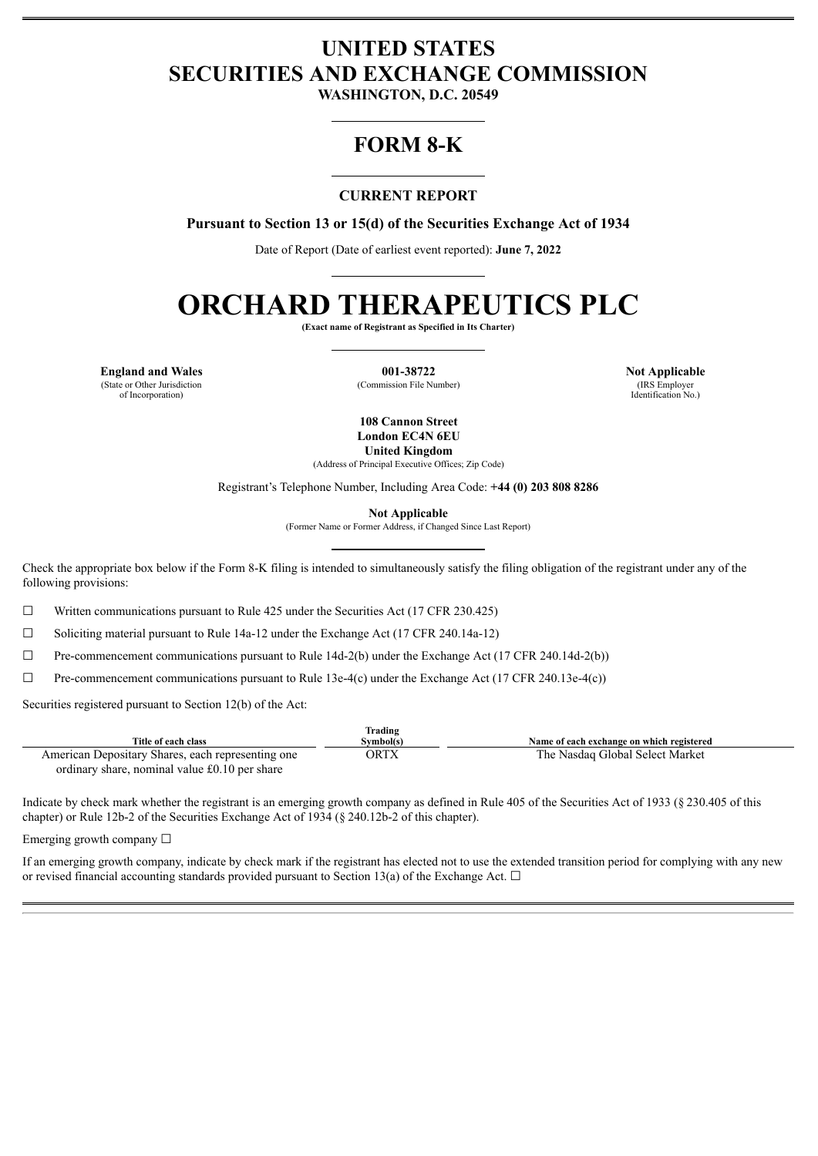# **UNITED STATES SECURITIES AND EXCHANGE COMMISSION**

**WASHINGTON, D.C. 20549**

## **FORM 8-K**

## **CURRENT REPORT**

**Pursuant to Section 13 or 15(d) of the Securities Exchange Act of 1934**

Date of Report (Date of earliest event reported): **June 7, 2022**

# **ORCHARD THERAPEUTICS PLC**

**(Exact name of Registrant as Specified in Its Charter)**

**England and Wales 001-38722 Not Applicable**<br>
(State or Other Jurisdiction **and Commission File Number**) **1.88 COMMISSION** (COMMISSION File Number) **1.88 COMMISSION** (State or Other Jurisdiction of Incorporation)

(Commission File Number)

Identification No.)

**108 Cannon Street London EC4N 6EU United Kingdom**

(Address of Principal Executive Offices; Zip Code)

Registrant's Telephone Number, Including Area Code: **+44 (0) 203 808 8286**

**Not Applicable**

(Former Name or Former Address, if Changed Since Last Report)

Check the appropriate box below if the Form 8-K filing is intended to simultaneously satisfy the filing obligation of the registrant under any of the following provisions:

 $\Box$  Written communications pursuant to Rule 425 under the Securities Act (17 CFR 230.425)

☐ Soliciting material pursuant to Rule 14a-12 under the Exchange Act (17 CFR 240.14a-12)

 $\Box$  Pre-commencement communications pursuant to Rule 14d-2(b) under the Exchange Act (17 CFR 240.14d-2(b))

 $\Box$  Pre-commencement communications pursuant to Rule 13e-4(c) under the Exchange Act (17 CFR 240.13e-4(c))

Securities registered pursuant to Section 12(b) of the Act:

|                                                   | Trading   |                                           |
|---------------------------------------------------|-----------|-------------------------------------------|
| Title of each class                               | Svmbol(s) | Name of each exchange on which registered |
| American Depositary Shares, each representing one | ORTX      | The Nasdaq Global Select Market           |
| ordinary share, nominal value £0.10 per share     |           |                                           |

Indicate by check mark whether the registrant is an emerging growth company as defined in Rule 405 of the Securities Act of 1933 (§ 230.405 of this chapter) or Rule 12b-2 of the Securities Exchange Act of 1934 (§ 240.12b-2 of this chapter).

Emerging growth company  $\Box$ 

If an emerging growth company, indicate by check mark if the registrant has elected not to use the extended transition period for complying with any new or revised financial accounting standards provided pursuant to Section 13(a) of the Exchange Act.  $\Box$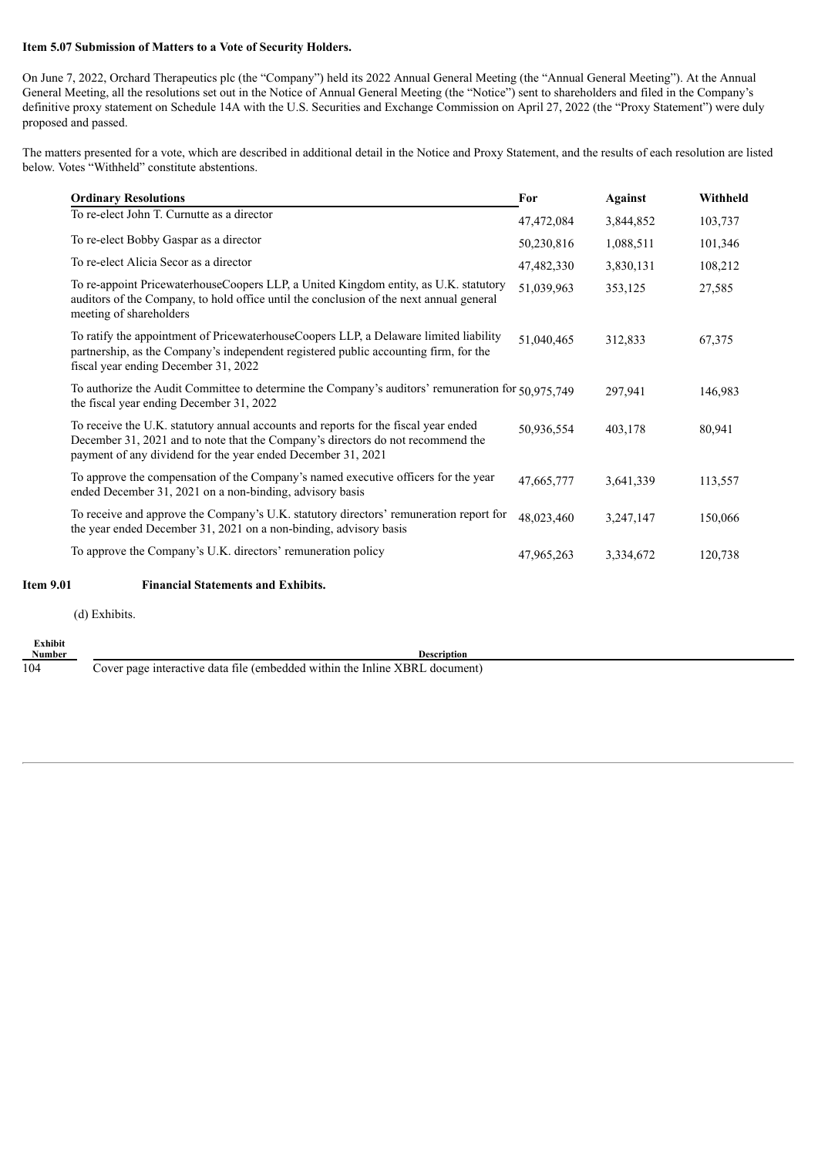#### **Item 5.07 Submission of Matters to a Vote of Security Holders.**

On June 7, 2022, Orchard Therapeutics plc (the "Company") held its 2022 Annual General Meeting (the "Annual General Meeting"). At the Annual General Meeting, all the resolutions set out in the Notice of Annual General Meeting (the "Notice") sent to shareholders and filed in the Company's definitive proxy statement on Schedule 14A with the U.S. Securities and Exchange Commission on April 27, 2022 (the "Proxy Statement") were duly proposed and passed.

The matters presented for a vote, which are described in additional detail in the Notice and Proxy Statement, and the results of each resolution are listed below. Votes "Withheld" constitute abstentions.

| 47,472,084<br>50,230,816<br>47,482,330<br>To re-appoint PricewaterhouseCoopers LLP, a United Kingdom entity, as U.K. statutory<br>51,039,963 | 3,844,852<br>1,088,511<br>3,830,131 | 103,737<br>101,346<br>108,212 |
|----------------------------------------------------------------------------------------------------------------------------------------------|-------------------------------------|-------------------------------|
|                                                                                                                                              |                                     |                               |
|                                                                                                                                              |                                     |                               |
|                                                                                                                                              |                                     |                               |
|                                                                                                                                              | 353,125                             | 27,585                        |
| To ratify the appointment of PricewaterhouseCoopers LLP, a Delaware limited liability<br>51,040,465                                          | 312,833                             | 67,375                        |
| To authorize the Audit Committee to determine the Company's auditors' remuneration for 50,975,749                                            | 297,941                             | 146,983                       |
| 50,936,554                                                                                                                                   | 403,178                             | 80,941                        |
| 47,665,777                                                                                                                                   | 3,641,339                           | 113,557                       |
| To receive and approve the Company's U.K. statutory directors' remuneration report for<br>48,023,460                                         | 3,247,147                           | 150,066                       |
| 47,965,263                                                                                                                                   | 3,334,672                           | 120,738                       |
|                                                                                                                                              |                                     |                               |
|                                                                                                                                              |                                     |                               |

(d) Exhibits.

**Exhibit**

**Number Description**<br>104 **Cover page interactive data file (embedded within the Inline XBRL docume** Cover page interactive data file (embedded within the Inline XBRL document)